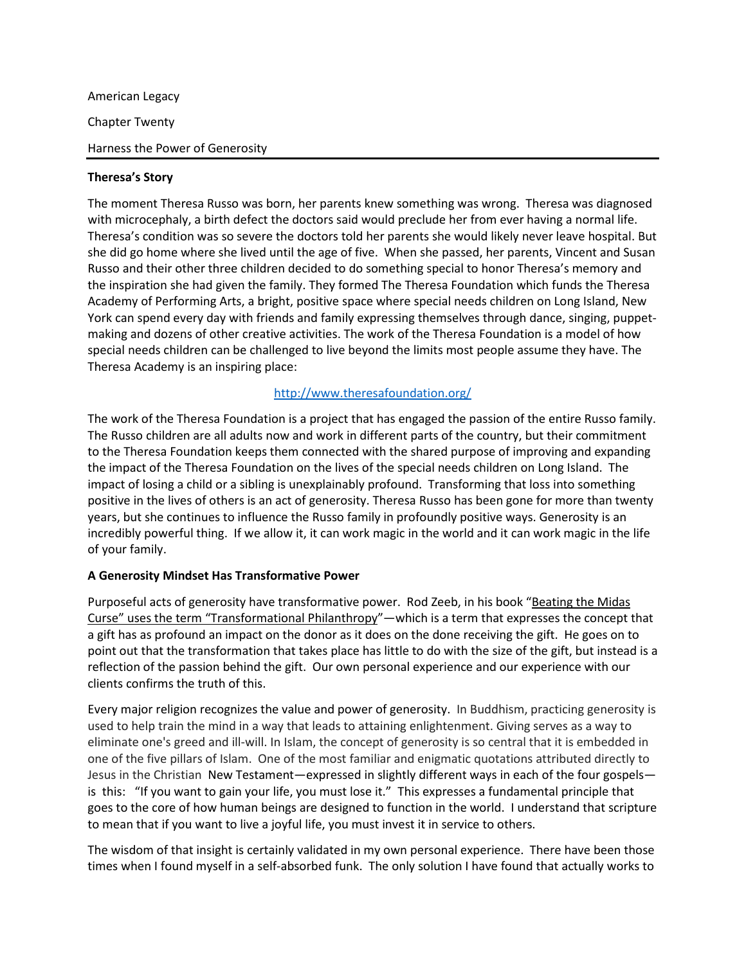American Legacy Chapter Twenty Harness the Power of Generosity

## **Theresa's Story**

The moment Theresa Russo was born, her parents knew something was wrong. Theresa was diagnosed with microcephaly, a birth defect the doctors said would preclude her from ever having a normal life. Theresa's condition was so severe the doctors told her parents she would likely never leave hospital. But she did go home where she lived until the age of five. When she passed, her parents, Vincent and Susan Russo and their other three children decided to do something special to honor Theresa's memory and the inspiration she had given the family. They formed The Theresa Foundation which funds the Theresa Academy of Performing Arts, a bright, positive space where special needs children on Long Island, New York can spend every day with friends and family expressing themselves through dance, singing, puppetmaking and dozens of other creative activities. The work of the Theresa Foundation is a model of how special needs children can be challenged to live beyond the limits most people assume they have. The Theresa Academy is an inspiring place:

# <http://www.theresafoundation.org/>

The work of the Theresa Foundation is a project that has engaged the passion of the entire Russo family. The Russo children are all adults now and work in different parts of the country, but their commitment to the Theresa Foundation keeps them connected with the shared purpose of improving and expanding the impact of the Theresa Foundation on the lives of the special needs children on Long Island. The impact of losing a child or a sibling is unexplainably profound. Transforming that loss into something positive in the lives of others is an act of generosity. Theresa Russo has been gone for more than twenty years, but she continues to influence the Russo family in profoundly positive ways. Generosity is an incredibly powerful thing. If we allow it, it can work magic in the world and it can work magic in the life of your family.

### **A Generosity Mindset Has Transformative Power**

Purposeful acts of generosity have transformative power. Rod Zeeb, in his book "Beating the Midas Curse" uses the term "Transformational Philanthropy"—which is a term that expresses the concept that a gift has as profound an impact on the donor as it does on the done receiving the gift. He goes on to point out that the transformation that takes place has little to do with the size of the gift, but instead is a reflection of the passion behind the gift. Our own personal experience and our experience with our clients confirms the truth of this.

Every major religion recognizes the value and power of generosity. In Buddhism, practicing generosity is used to help train the mind in a way that leads to attaining enlightenment. Giving serves as a way to eliminate one's greed and ill-will. In Islam, the concept of generosity is so central that it is embedded in one of the five pillars of Islam. One of the most familiar and enigmatic quotations attributed directly to Jesus in the Christian New Testament—expressed in slightly different ways in each of the four gospels is this: "If you want to gain your life, you must lose it." This expresses a fundamental principle that goes to the core of how human beings are designed to function in the world. I understand that scripture to mean that if you want to live a joyful life, you must invest it in service to others.

The wisdom of that insight is certainly validated in my own personal experience. There have been those times when I found myself in a self-absorbed funk. The only solution I have found that actually works to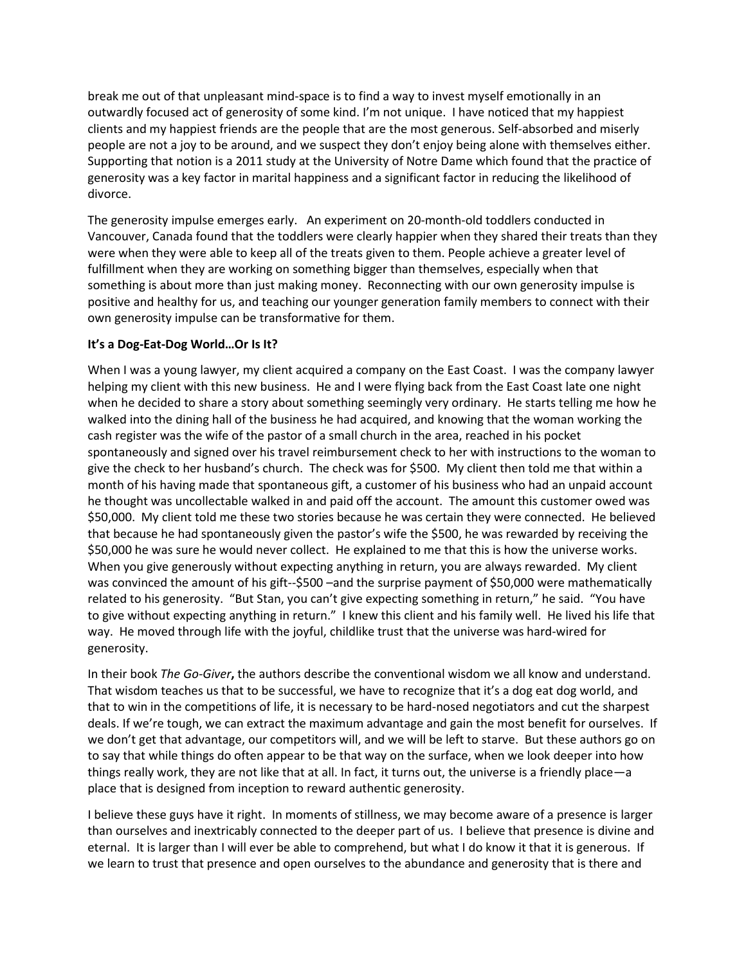break me out of that unpleasant mind-space is to find a way to invest myself emotionally in an outwardly focused act of generosity of some kind. I'm not unique. I have noticed that my happiest clients and my happiest friends are the people that are the most generous. Self-absorbed and miserly people are not a joy to be around, and we suspect they don't enjoy being alone with themselves either. Supporting that notion is a 2011 study at the University of Notre Dame which found that the practice of generosity was a key factor in marital happiness and a significant factor in reducing the likelihood of divorce.

The generosity impulse emerges early. An experiment on 20-month-old toddlers conducted in Vancouver, Canada found that the toddlers were clearly happier when they shared their treats than they were when they were able to keep all of the treats given to them. People achieve a greater level of fulfillment when they are working on something bigger than themselves, especially when that something is about more than just making money. Reconnecting with our own generosity impulse is positive and healthy for us, and teaching our younger generation family members to connect with their own generosity impulse can be transformative for them.

## **It's a Dog-Eat-Dog World…Or Is It?**

When I was a young lawyer, my client acquired a company on the East Coast. I was the company lawyer helping my client with this new business. He and I were flying back from the East Coast late one night when he decided to share a story about something seemingly very ordinary. He starts telling me how he walked into the dining hall of the business he had acquired, and knowing that the woman working the cash register was the wife of the pastor of a small church in the area, reached in his pocket spontaneously and signed over his travel reimbursement check to her with instructions to the woman to give the check to her husband's church. The check was for \$500. My client then told me that within a month of his having made that spontaneous gift, a customer of his business who had an unpaid account he thought was uncollectable walked in and paid off the account. The amount this customer owed was \$50,000. My client told me these two stories because he was certain they were connected. He believed that because he had spontaneously given the pastor's wife the \$500, he was rewarded by receiving the \$50,000 he was sure he would never collect. He explained to me that this is how the universe works. When you give generously without expecting anything in return, you are always rewarded. My client was convinced the amount of his gift--\$500 –and the surprise payment of \$50,000 were mathematically related to his generosity. "But Stan, you can't give expecting something in return," he said. "You have to give without expecting anything in return." I knew this client and his family well. He lived his life that way. He moved through life with the joyful, childlike trust that the universe was hard-wired for generosity.

In their book *The Go-Giver***,** the authors describe the conventional wisdom we all know and understand. That wisdom teaches us that to be successful, we have to recognize that it's a dog eat dog world, and that to win in the competitions of life, it is necessary to be hard-nosed negotiators and cut the sharpest deals. If we're tough, we can extract the maximum advantage and gain the most benefit for ourselves. If we don't get that advantage, our competitors will, and we will be left to starve. But these authors go on to say that while things do often appear to be that way on the surface, when we look deeper into how things really work, they are not like that at all. In fact, it turns out, the universe is a friendly place—a place that is designed from inception to reward authentic generosity.

I believe these guys have it right. In moments of stillness, we may become aware of a presence is larger than ourselves and inextricably connected to the deeper part of us. I believe that presence is divine and eternal. It is larger than I will ever be able to comprehend, but what I do know it that it is generous. If we learn to trust that presence and open ourselves to the abundance and generosity that is there and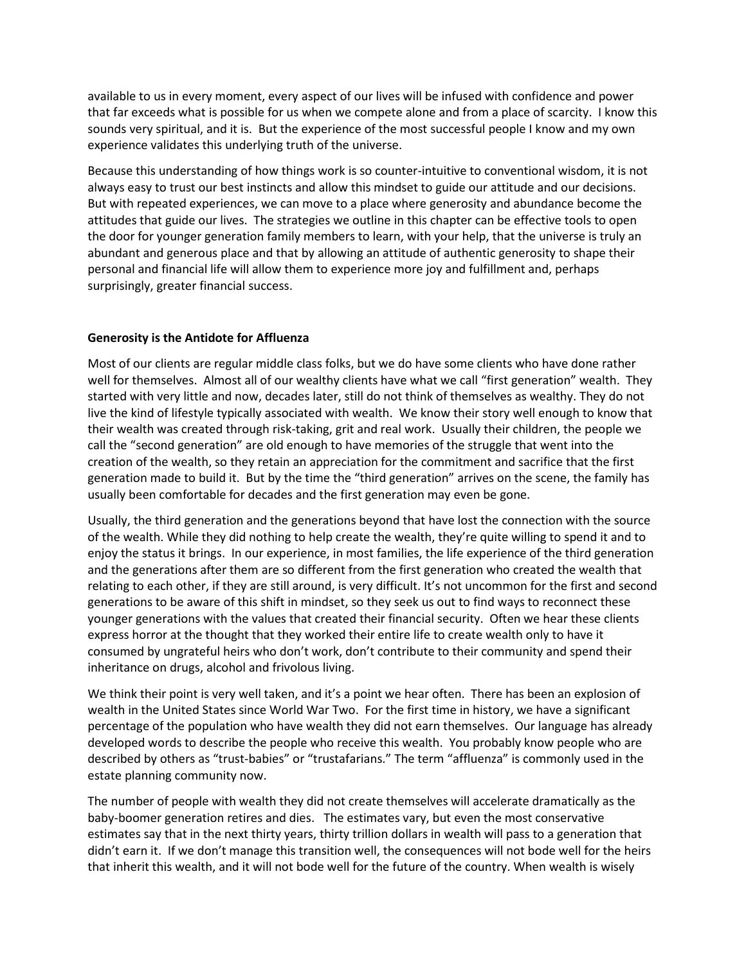available to us in every moment, every aspect of our lives will be infused with confidence and power that far exceeds what is possible for us when we compete alone and from a place of scarcity. I know this sounds very spiritual, and it is. But the experience of the most successful people I know and my own experience validates this underlying truth of the universe.

Because this understanding of how things work is so counter-intuitive to conventional wisdom, it is not always easy to trust our best instincts and allow this mindset to guide our attitude and our decisions. But with repeated experiences, we can move to a place where generosity and abundance become the attitudes that guide our lives. The strategies we outline in this chapter can be effective tools to open the door for younger generation family members to learn, with your help, that the universe is truly an abundant and generous place and that by allowing an attitude of authentic generosity to shape their personal and financial life will allow them to experience more joy and fulfillment and, perhaps surprisingly, greater financial success.

### **Generosity is the Antidote for Affluenza**

Most of our clients are regular middle class folks, but we do have some clients who have done rather well for themselves. Almost all of our wealthy clients have what we call "first generation" wealth. They started with very little and now, decades later, still do not think of themselves as wealthy. They do not live the kind of lifestyle typically associated with wealth. We know their story well enough to know that their wealth was created through risk-taking, grit and real work. Usually their children, the people we call the "second generation" are old enough to have memories of the struggle that went into the creation of the wealth, so they retain an appreciation for the commitment and sacrifice that the first generation made to build it. But by the time the "third generation" arrives on the scene, the family has usually been comfortable for decades and the first generation may even be gone.

Usually, the third generation and the generations beyond that have lost the connection with the source of the wealth. While they did nothing to help create the wealth, they're quite willing to spend it and to enjoy the status it brings. In our experience, in most families, the life experience of the third generation and the generations after them are so different from the first generation who created the wealth that relating to each other, if they are still around, is very difficult. It's not uncommon for the first and second generations to be aware of this shift in mindset, so they seek us out to find ways to reconnect these younger generations with the values that created their financial security. Often we hear these clients express horror at the thought that they worked their entire life to create wealth only to have it consumed by ungrateful heirs who don't work, don't contribute to their community and spend their inheritance on drugs, alcohol and frivolous living.

We think their point is very well taken, and it's a point we hear often. There has been an explosion of wealth in the United States since World War Two. For the first time in history, we have a significant percentage of the population who have wealth they did not earn themselves. Our language has already developed words to describe the people who receive this wealth. You probably know people who are described by others as "trust-babies" or "trustafarians." The term "affluenza" is commonly used in the estate planning community now.

The number of people with wealth they did not create themselves will accelerate dramatically as the baby-boomer generation retires and dies. The estimates vary, but even the most conservative estimates say that in the next thirty years, thirty trillion dollars in wealth will pass to a generation that didn't earn it. If we don't manage this transition well, the consequences will not bode well for the heirs that inherit this wealth, and it will not bode well for the future of the country. When wealth is wisely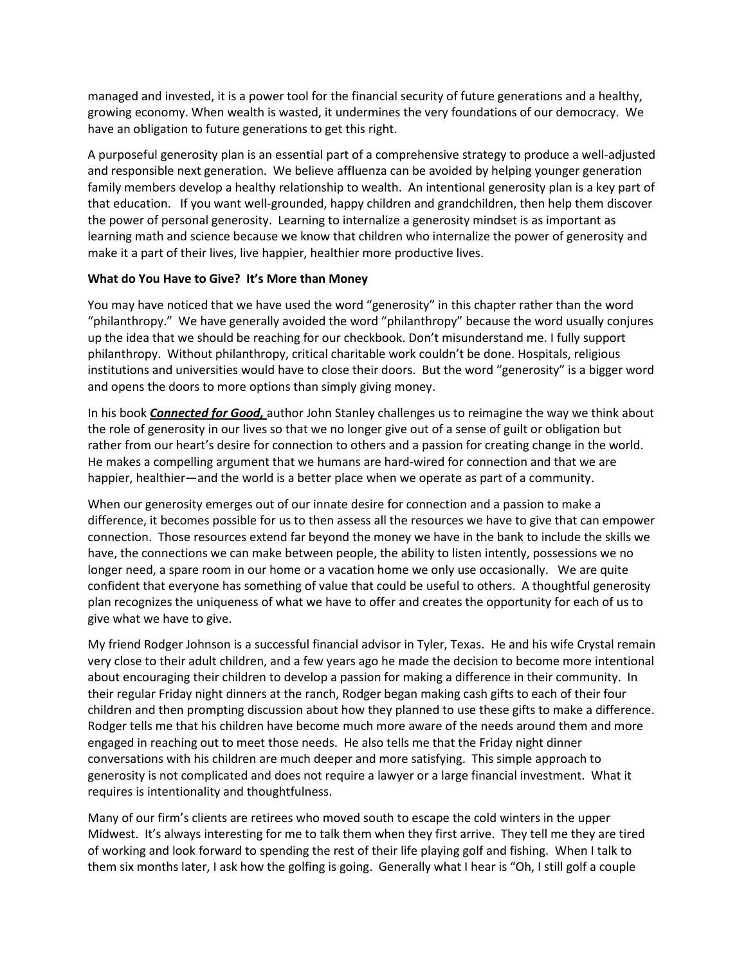managed and invested, it is a power tool for the financial security of future generations and a healthy, growing economy. When wealth is wasted, it undermines the very foundations of our democracy. We have an obligation to future generations to get this right.

A purposeful generosity plan is an essential part of a comprehensive strategy to produce a well-adjusted and responsible next generation. We believe affluenza can be avoided by helping younger generation family members develop a healthy relationship to wealth. An intentional generosity plan is a key part of that education. If you want well-grounded, happy children and grandchildren, then help them discover the power of personal generosity. Learning to internalize a generosity mindset is as important as learning math and science because we know that children who internalize the power of generosity and make it a part of their lives, live happier, healthier more productive lives.

#### **What do You Have to Give? It's More than Money**

You may have noticed that we have used the word "generosity" in this chapter rather than the word "philanthropy." We have generally avoided the word "philanthropy" because the word usually conjures up the idea that we should be reaching for our checkbook. Don't misunderstand me. I fully support philanthropy. Without philanthropy, critical charitable work couldn't be done. Hospitals, religious institutions and universities would have to close their doors. But the word "generosity" is a bigger word and opens the doors to more options than simply giving money.

In his book *Connected for Good,* author John Stanley challenges us to reimagine the way we think about the role of generosity in our lives so that we no longer give out of a sense of guilt or obligation but rather from our heart's desire for connection to others and a passion for creating change in the world. He makes a compelling argument that we humans are hard-wired for connection and that we are happier, healthier—and the world is a better place when we operate as part of a community.

When our generosity emerges out of our innate desire for connection and a passion to make a difference, it becomes possible for us to then assess all the resources we have to give that can empower connection. Those resources extend far beyond the money we have in the bank to include the skills we have, the connections we can make between people, the ability to listen intently, possessions we no longer need, a spare room in our home or a vacation home we only use occasionally. We are quite confident that everyone has something of value that could be useful to others. A thoughtful generosity plan recognizes the uniqueness of what we have to offer and creates the opportunity for each of us to give what we have to give.

My friend Rodger Johnson is a successful financial advisor in Tyler, Texas. He and his wife Crystal remain very close to their adult children, and a few years ago he made the decision to become more intentional about encouraging their children to develop a passion for making a difference in their community. In their regular Friday night dinners at the ranch, Rodger began making cash gifts to each of their four children and then prompting discussion about how they planned to use these gifts to make a difference. Rodger tells me that his children have become much more aware of the needs around them and more engaged in reaching out to meet those needs. He also tells me that the Friday night dinner conversations with his children are much deeper and more satisfying. This simple approach to generosity is not complicated and does not require a lawyer or a large financial investment. What it requires is intentionality and thoughtfulness.

Many of our firm's clients are retirees who moved south to escape the cold winters in the upper Midwest. It's always interesting for me to talk them when they first arrive. They tell me they are tired of working and look forward to spending the rest of their life playing golf and fishing. When I talk to them six months later, I ask how the golfing is going. Generally what I hear is "Oh, I still golf a couple